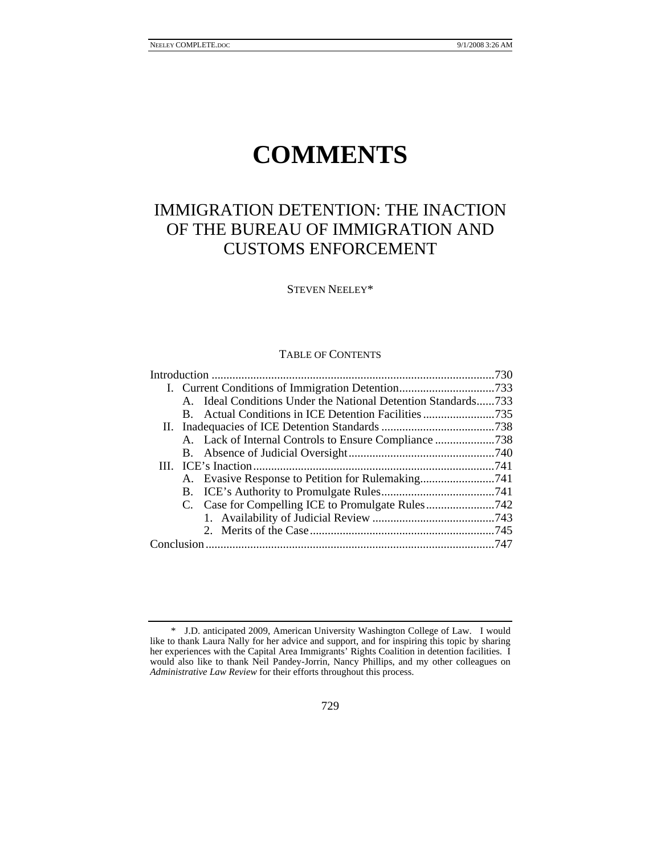# **COMMENTS**

# IMMIGRATION DETENTION: THE INACTION OF THE BUREAU OF IMMIGRATION AND CUSTOMS ENFORCEMENT

STEVEN NEELEY\*

#### TABLE OF CONTENTS

|  |  | A. Ideal Conditions Under the National Detention Standards733 |  |
|--|--|---------------------------------------------------------------|--|
|  |  |                                                               |  |
|  |  |                                                               |  |
|  |  |                                                               |  |
|  |  |                                                               |  |
|  |  |                                                               |  |
|  |  |                                                               |  |
|  |  |                                                               |  |
|  |  |                                                               |  |
|  |  |                                                               |  |
|  |  |                                                               |  |
|  |  |                                                               |  |
|  |  |                                                               |  |

 <sup>\*</sup> J.D. anticipated 2009, American University Washington College of Law. I would like to thank Laura Nally for her advice and support, and for inspiring this topic by sharing her experiences with the Capital Area Immigrants' Rights Coalition in detention facilities. I would also like to thank Neil Pandey-Jorrin, Nancy Phillips, and my other colleagues on *Administrative Law Review* for their efforts throughout this process.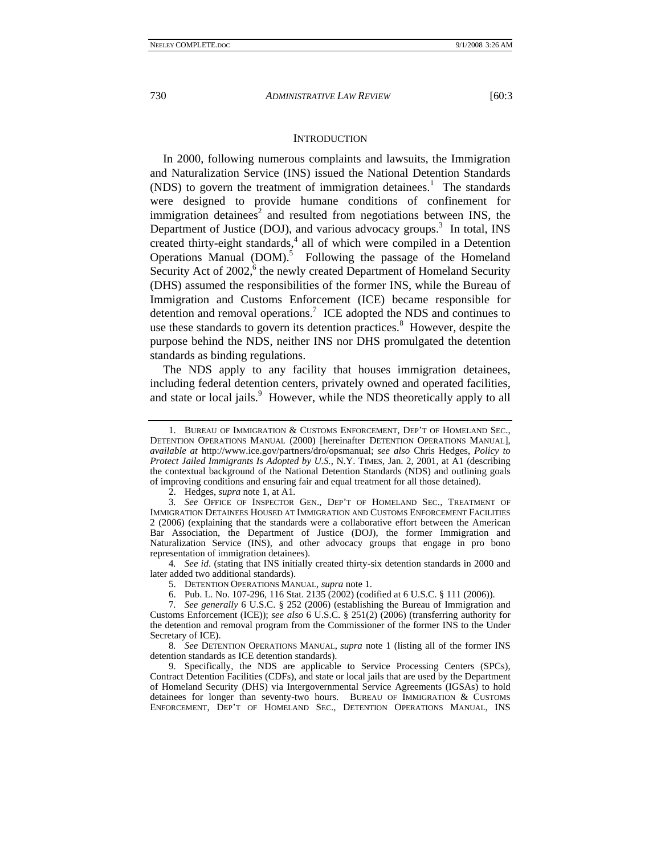#### **INTRODUCTION**

In 2000, following numerous complaints and lawsuits, the Immigration and Naturalization Service (INS) issued the National Detention Standards  $(NDS)$  to govern the treatment of immigration detainees.<sup>1</sup> The standards were designed to provide humane conditions of confinement for immigration detainees<sup>2</sup> and resulted from negotiations between INS, the Department of Justice (DOJ), and various advocacy groups.<sup>3</sup> In total, INS created thirty-eight standards,<sup>4</sup> all of which were compiled in a Detention Operations Manual (DOM).<sup>5</sup> Following the passage of the Homeland Security Act of 2002,<sup>6</sup> the newly created Department of Homeland Security (DHS) assumed the responsibilities of the former INS, while the Bureau of Immigration and Customs Enforcement (ICE) became responsible for detention and removal operations.<sup>7</sup> ICE adopted the NDS and continues to use these standards to govern its detention practices.<sup>8</sup> However, despite the purpose behind the NDS, neither INS nor DHS promulgated the detention standards as binding regulations.

The NDS apply to any facility that houses immigration detainees, including federal detention centers, privately owned and operated facilities, and state or local jails.<sup>9</sup> However, while the NDS theoretically apply to all

2. Hedges, *supra* note 1, at A1*.*

3*. See* OFFICE OF INSPECTOR GEN., DEP'T OF HOMELAND SEC., TREATMENT OF IMMIGRATION DETAINEES HOUSED AT IMMIGRATION AND CUSTOMS ENFORCEMENT FACILITIES 2 (2006) (explaining that the standards were a collaborative effort between the American Bar Association, the Department of Justice (DOJ), the former Immigration and Naturalization Service (INS), and other advocacy groups that engage in pro bono representation of immigration detainees).

4*. See id*. (stating that INS initially created thirty-six detention standards in 2000 and later added two additional standards).

5. DETENTION OPERATIONS MANUAL, *supra* note 1.

6. Pub. L. No. 107-296, 116 Stat. 2135 (2002) (codified at 6 U.S.C. § 111 (2006)).

7*. See generally* 6 U.S.C. § 252 (2006) (establishing the Bureau of Immigration and Customs Enforcement (ICE)); *see also* 6 U.S.C. § 251(2) (2006) (transferring authority for the detention and removal program from the Commissioner of the former INS to the Under Secretary of ICE).

8*. See* DETENTION OPERATIONS MANUAL, *supra* note 1 (listing all of the former INS detention standards as ICE detention standards).

 9. Specifically, the NDS are applicable to Service Processing Centers (SPCs), Contract Detention Facilities (CDFs), and state or local jails that are used by the Department of Homeland Security (DHS) via Intergovernmental Service Agreements (IGSAs) to hold detainees for longer than seventy-two hours. BUREAU OF IMMIGRATION & CUSTOMS ENFORCEMENT, DEP'T OF HOMELAND SEC., DETENTION OPERATIONS MANUAL, INS

 <sup>1.</sup> BUREAU OF IMMIGRATION & CUSTOMS ENFORCEMENT, DEP'T OF HOMELAND SEC., DETENTION OPERATIONS MANUAL (2000) [hereinafter DETENTION OPERATIONS MANUAL], *available at* http://www.ice.gov/partners/dro/opsmanual; *see also* Chris Hedges, *Policy to Protect Jailed Immigrants Is Adopted by U.S.*, N.Y. TIMES, Jan. 2, 2001, at A1 (describing the contextual background of the National Detention Standards (NDS) and outlining goals of improving conditions and ensuring fair and equal treatment for all those detained).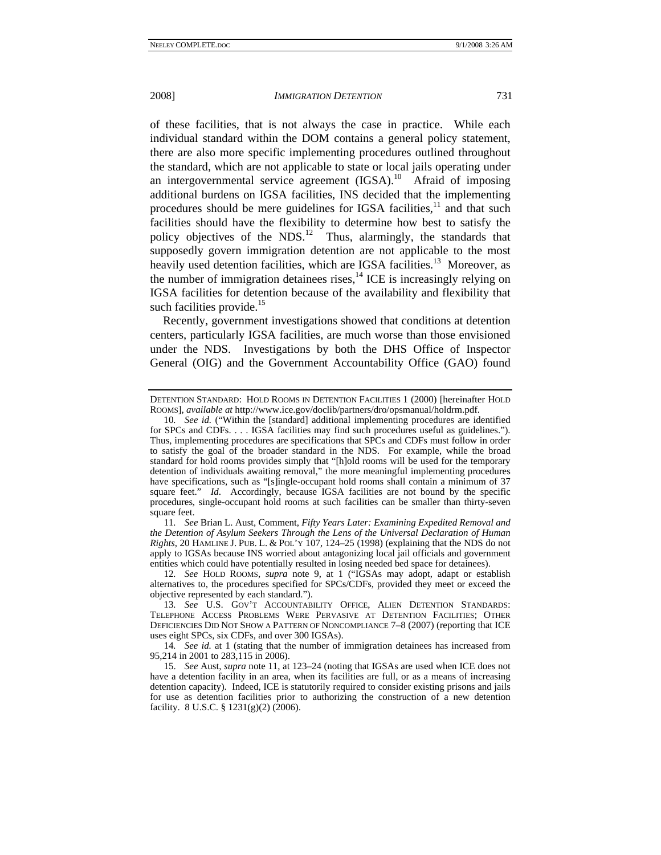of these facilities, that is not always the case in practice. While each individual standard within the DOM contains a general policy statement, there are also more specific implementing procedures outlined throughout the standard, which are not applicable to state or local jails operating under an intergovernmental service agreement  $(IGSA)$ <sup>10</sup> Afraid of imposing additional burdens on IGSA facilities, INS decided that the implementing procedures should be mere guidelines for IGSA facilities, $11$  and that such facilities should have the flexibility to determine how best to satisfy the policy objectives of the NDS.<sup>12</sup> Thus, alarmingly, the standards that supposedly govern immigration detention are not applicable to the most heavily used detention facilities, which are IGSA facilities.<sup>13</sup> Moreover, as the number of immigration detainees rises, $^{14}$  ICE is increasingly relying on IGSA facilities for detention because of the availability and flexibility that such facilities provide. $15$ 

Recently, government investigations showed that conditions at detention centers, particularly IGSA facilities, are much worse than those envisioned under the NDS. Investigations by both the DHS Office of Inspector General (OIG) and the Government Accountability Office (GAO) found

11*. See* Brian L. Aust, Comment, *Fifty Years Later: Examining Expedited Removal and the Detention of Asylum Seekers Through the Lens of the Universal Declaration of Human Rights*, 20 HAMLINE J. PUB. L. & POL'Y 107, 124–25 (1998) (explaining that the NDS do not apply to IGSAs because INS worried about antagonizing local jail officials and government entities which could have potentially resulted in losing needed bed space for detainees).

12*. See* HOLD ROOMS, *supra* note 9, at 1 ("IGSAs may adopt, adapt or establish alternatives to, the procedures specified for SPCs/CDFs, provided they meet or exceed the objective represented by each standard.").

13*. See* U.S. GOV'T ACCOUNTABILITY OFFICE, ALIEN DETENTION STANDARDS: TELEPHONE ACCESS PROBLEMS WERE PERVASIVE AT DETENTION FACILITIES; OTHER DEFICIENCIES DID NOT SHOW A PATTERN OF NONCOMPLIANCE 7–8 (2007) (reporting that ICE uses eight SPCs, six CDFs, and over 300 IGSAs).

14*. See id.* at 1 (stating that the number of immigration detainees has increased from 95,214 in 2001 to 283,115 in 2006).

 15. *See* Aust, *supra* note 11, at 123–24 (noting that IGSAs are used when ICE does not have a detention facility in an area, when its facilities are full, or as a means of increasing detention capacity). Indeed, ICE is statutorily required to consider existing prisons and jails for use as detention facilities prior to authorizing the construction of a new detention facility. 8 U.S.C. § 1231(g)(2) (2006).

DETENTION STANDARD: HOLD ROOMS IN DETENTION FACILITIES 1 (2000) [hereinafter HOLD ROOMS], *available at* http://www.ice.gov/doclib/partners/dro/opsmanual/holdrm.pdf.

<sup>10</sup>*. See id.* ("Within the [standard] additional implementing procedures are identified for SPCs and CDFs. . . . IGSA facilities may find such procedures useful as guidelines."). Thus, implementing procedures are specifications that SPCs and CDFs must follow in order to satisfy the goal of the broader standard in the NDS. For example, while the broad standard for hold rooms provides simply that "[h]old rooms will be used for the temporary detention of individuals awaiting removal," the more meaningful implementing procedures have specifications, such as "[s]ingle-occupant hold rooms shall contain a minimum of 37 square feet." *Id.* Accordingly, because IGSA facilities are not bound by the specific procedures, single-occupant hold rooms at such facilities can be smaller than thirty-seven square feet.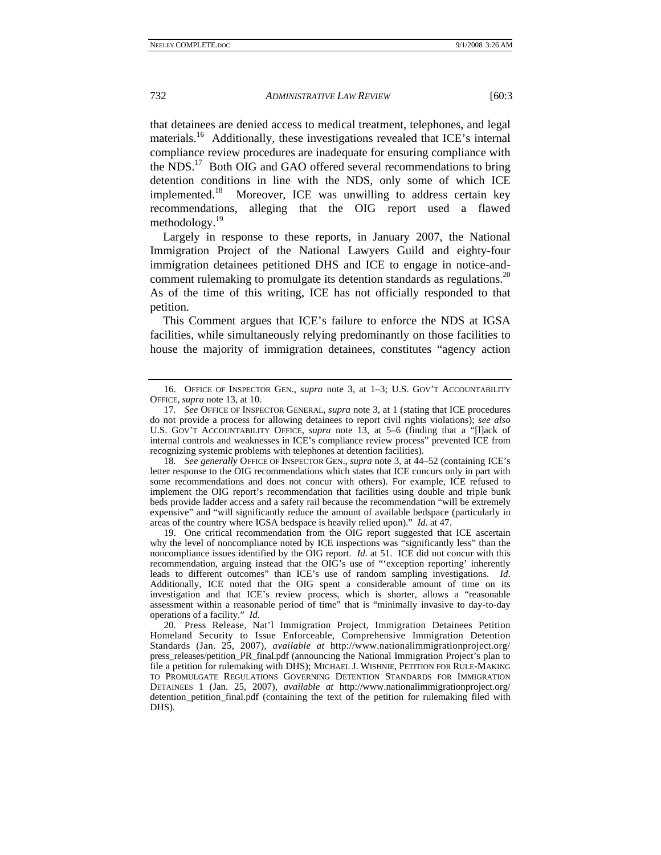that detainees are denied access to medical treatment, telephones, and legal materials.<sup>16</sup> Additionally, these investigations revealed that ICE's internal compliance review procedures are inadequate for ensuring compliance with the NDS.<sup>17</sup> Both OIG and GAO offered several recommendations to bring detention conditions in line with the NDS, only some of which ICE implemented.<sup>18</sup> Moreover, ICE was unwilling to address certain key recommendations, alleging that the OIG report used a flawed methodology.<sup>19</sup>

Largely in response to these reports, in January 2007, the National Immigration Project of the National Lawyers Guild and eighty-four immigration detainees petitioned DHS and ICE to engage in notice-andcomment rulemaking to promulgate its detention standards as regulations.<sup>20</sup> As of the time of this writing, ICE has not officially responded to that petition.

This Comment argues that ICE's failure to enforce the NDS at IGSA facilities, while simultaneously relying predominantly on those facilities to house the majority of immigration detainees, constitutes "agency action

18*. See generally* OFFICE OF INSPECTOR GEN., *supra* note 3, at 44–52 (containing ICE's letter response to the OIG recommendations which states that ICE concurs only in part with some recommendations and does not concur with others). For example, ICE refused to implement the OIG report's recommendation that facilities using double and triple bunk beds provide ladder access and a safety rail because the recommendation "will be extremely expensive" and "will significantly reduce the amount of available bedspace (particularly in areas of the country where IGSA bedspace is heavily relied upon)." *Id*. at 47.

 19. One critical recommendation from the OIG report suggested that ICE ascertain why the level of noncompliance noted by ICE inspections was "significantly less" than the noncompliance issues identified by the OIG report. *Id*. at 51. ICE did not concur with this recommendation, arguing instead that the OIG's use of "'exception reporting' inherently leads to different outcomes" than ICE's use of random sampling investigations. *Id*. Additionally, ICE noted that the OIG spent a considerable amount of time on its investigation and that ICE's review process, which is shorter, allows a "reasonable assessment within a reasonable period of time" that is "minimally invasive to day-to-day operations of a facility." *Id*.

 <sup>16.</sup> OFFICE OF INSPECTOR GEN., *supra* note 3, at 1–3; U.S. GOV'T ACCOUNTABILITY OFFICE, *supra* note 13, at 10.

<sup>17</sup>*. See* OFFICE OF INSPECTOR GENERAL, *supra* note 3, at 1 (stating that ICE procedures do not provide a process for allowing detainees to report civil rights violations); *see also* U.S. GOV'T ACCOUNTABILITY OFFICE, *supra* note 13, at 5–6 (finding that a "[l]ack of internal controls and weaknesses in ICE's compliance review process" prevented ICE from recognizing systemic problems with telephones at detention facilities).

 <sup>20.</sup> Press Release, Nat'l Immigration Project, Immigration Detainees Petition Homeland Security to Issue Enforceable, Comprehensive Immigration Detention Standards (Jan. 25, 2007), *available at* http://www.nationalimmigrationproject.org/ press\_releases/petition\_PR\_final.pdf (announcing the National Immigration Project's plan to file a petition for rulemaking with DHS); MICHAEL J. WISHNIE, PETITION FOR RULE-MAKING TO PROMULGATE REGULATIONS GOVERNING DETENTION STANDARDS FOR IMMIGRATION DETAINEES 1 (Jan. 25, 2007), *available at* http://www.nationalimmigrationproject.org/ detention petition final.pdf (containing the text of the petition for rulemaking filed with DHS).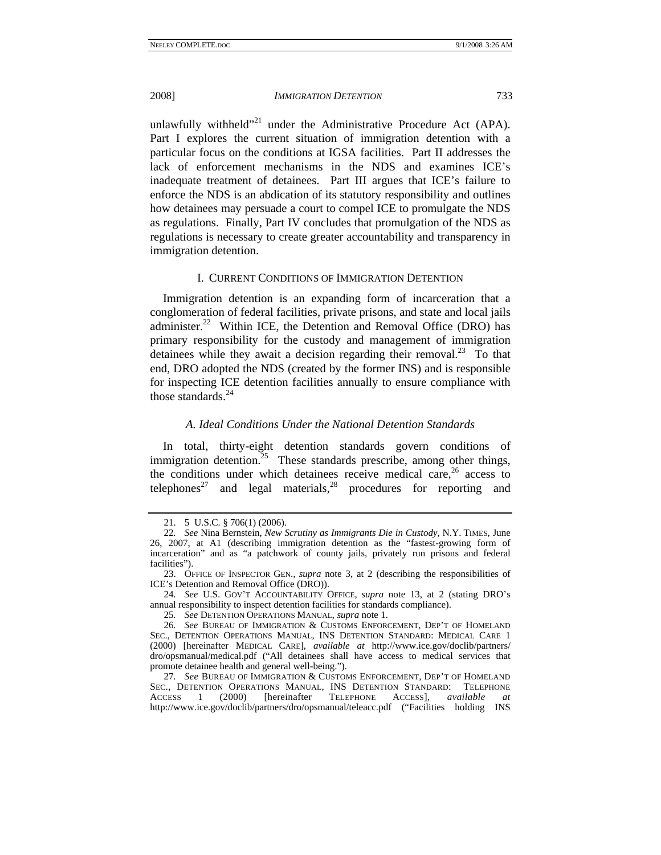unlawfully withheld"<sup>21</sup> under the Administrative Procedure Act (APA). Part I explores the current situation of immigration detention with a particular focus on the conditions at IGSA facilities. Part II addresses the lack of enforcement mechanisms in the NDS and examines ICE's inadequate treatment of detainees. Part III argues that ICE's failure to enforce the NDS is an abdication of its statutory responsibility and outlines how detainees may persuade a court to compel ICE to promulgate the NDS as regulations. Finally, Part IV concludes that promulgation of the NDS as regulations is necessary to create greater accountability and transparency in immigration detention.

### I. CURRENT CONDITIONS OF IMMIGRATION DETENTION

Immigration detention is an expanding form of incarceration that a conglomeration of federal facilities, private prisons, and state and local jails administer.<sup>22</sup> Within ICE, the Detention and Removal Office (DRO) has primary responsibility for the custody and management of immigration detainees while they await a decision regarding their removal.<sup>23</sup> To that end, DRO adopted the NDS (created by the former INS) and is responsible for inspecting ICE detention facilities annually to ensure compliance with those standards $^{24}$ 

# *A. Ideal Conditions Under the National Detention Standards*

In total, thirty-eight detention standards govern conditions of immigration detention.<sup>25</sup> These standards prescribe, among other things, the conditions under which detainees receive medical care, $26$  access to telephones<sup>27</sup> and legal materials, <sup>28</sup> procedures for reporting and

 <sup>21. 5</sup> U.S.C. § 706(1) (2006).

<sup>22</sup>*. See* Nina Bernstein, *New Scrutiny as Immigrants Die in Custody*, N.Y. TIMES, June 26, 2007, at A1 (describing immigration detention as the "fastest-growing form of incarceration" and as "a patchwork of county jails, privately run prisons and federal facilities").

 <sup>23.</sup> OFFICE OF INSPECTOR GEN., *supra* note 3, at 2 (describing the responsibilities of ICE's Detention and Removal Office (DRO)).

<sup>24</sup>*. See* U.S. GOV'T ACCOUNTABILITY OFFICE, *supra* note 13, at 2 (stating DRO's annual responsibility to inspect detention facilities for standards compliance).

<sup>25</sup>*. See* DETENTION OPERATIONS MANUAL, *supra* note 1.

<sup>26</sup>*. See* BUREAU OF IMMIGRATION & CUSTOMS ENFORCEMENT, DEP'T OF HOMELAND SEC., DETENTION OPERATIONS MANUAL, INS DETENTION STANDARD: MEDICAL CARE 1 (2000) [hereinafter MEDICAL CARE], *available at* http://www.ice.gov/doclib/partners/ dro/opsmanual/medical.pdf ("All detainees shall have access to medical services that promote detainee health and general well-being.").

<sup>27</sup>*. See* BUREAU OF IMMIGRATION & CUSTOMS ENFORCEMENT, DEP'T OF HOMELAND SEC., DETENTION OPERATIONS MANUAL, INS DETENTION STANDARD: TELEPHONE ACCESS 1 (2000) [hereinafter TELEPHONE ACCESS], *available at* http://www.ice.gov/doclib/partners/dro/opsmanual/teleacc.pdf ("Facilities holding INS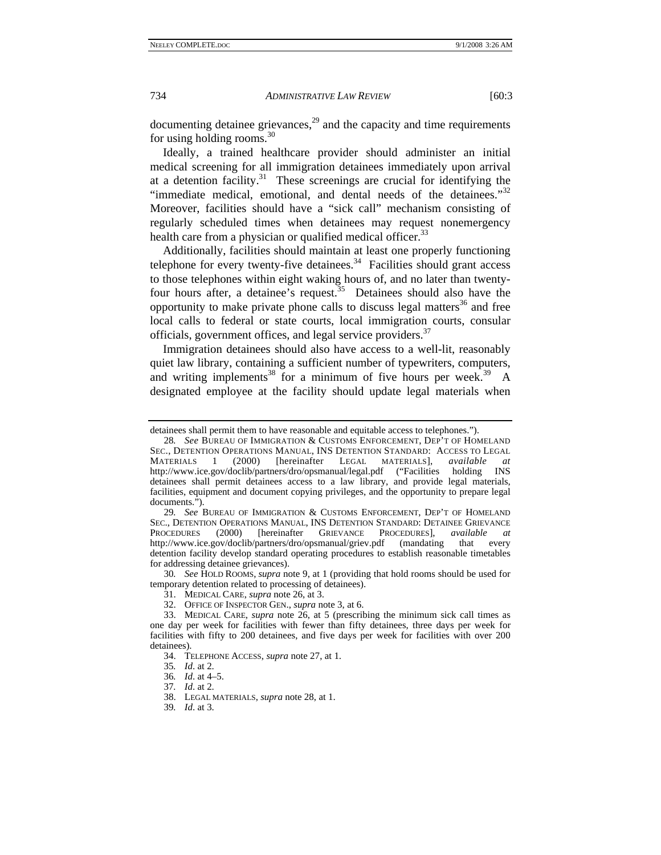documenting detainee grievances, $^{29}$  and the capacity and time requirements for using holding rooms.30

Ideally, a trained healthcare provider should administer an initial medical screening for all immigration detainees immediately upon arrival at a detention facility. $31$  These screenings are crucial for identifying the "immediate medical, emotional, and dental needs of the detainees." $32$ Moreover, facilities should have a "sick call" mechanism consisting of regularly scheduled times when detainees may request nonemergency health care from a physician or qualified medical officer.<sup>33</sup>

Additionally, facilities should maintain at least one properly functioning telephone for every twenty-five detainees. $34$  Facilities should grant access to those telephones within eight waking hours of, and no later than twentyfour hours after, a detainee's request.<sup>35</sup> Detainees should also have the opportunity to make private phone calls to discuss legal matters $36$  and free local calls to federal or state courts, local immigration courts, consular officials, government offices, and legal service providers.<sup>37</sup>

Immigration detainees should also have access to a well-lit, reasonably quiet law library, containing a sufficient number of typewriters, computers, and writing implements<sup>38</sup> for a minimum of five hours per week.<sup>39</sup> A designated employee at the facility should update legal materials when

29*. See* BUREAU OF IMMIGRATION & CUSTOMS ENFORCEMENT, DEP'T OF HOMELAND SEC., DETENTION OPERATIONS MANUAL, INS DETENTION STANDARD: DETAINEE GRIEVANCE PROCEDURES (2000) [hereinafter GRIEVANCE PROCEDURES], *available at*  http://www.ice.gov/doclib/partners/dro/opsmanual/griev.pdf (mandating that every detention facility develop standard operating procedures to establish reasonable timetables for addressing detainee grievances).

30*. See* HOLD ROOMS, *supra* note 9, at 1 (providing that hold rooms should be used for temporary detention related to processing of detainees).

32. OFFICE OF INSPECTOR GEN., *supra* note 3, at 6.

39*. Id*. at 3.

detainees shall permit them to have reasonable and equitable access to telephones.").

<sup>28</sup>*. See* BUREAU OF IMMIGRATION & CUSTOMS ENFORCEMENT, DEP'T OF HOMELAND SEC., DETENTION OPERATIONS MANUAL, INS DETENTION STANDARD: ACCESS TO LEGAL MATERIALS 1 (2000) [hereinafter LEGAL MATERIALS], *available at* http://www.ice.gov/doclib/partners/dro/opsmanual/legal.pdf ("Facilities holding INS detainees shall permit detainees access to a law library, and provide legal materials, facilities, equipment and document copying privileges, and the opportunity to prepare legal documents.").

 <sup>31.</sup> MEDICAL CARE, *supra* note 26, at 3.

 <sup>33.</sup> MEDICAL CARE, *supra* note 26, at 5 (prescribing the minimum sick call times as one day per week for facilities with fewer than fifty detainees, three days per week for facilities with fifty to 200 detainees, and five days per week for facilities with over 200 detainees).

 <sup>34.</sup> TELEPHONE ACCESS, *supra* note 27, at 1.

<sup>35</sup>*. Id*. at 2.

<sup>36</sup>*. Id*. at 4–5.

<sup>37</sup>*. Id*. at 2.

 <sup>38.</sup> LEGAL MATERIALS, *supra* note 28, at 1.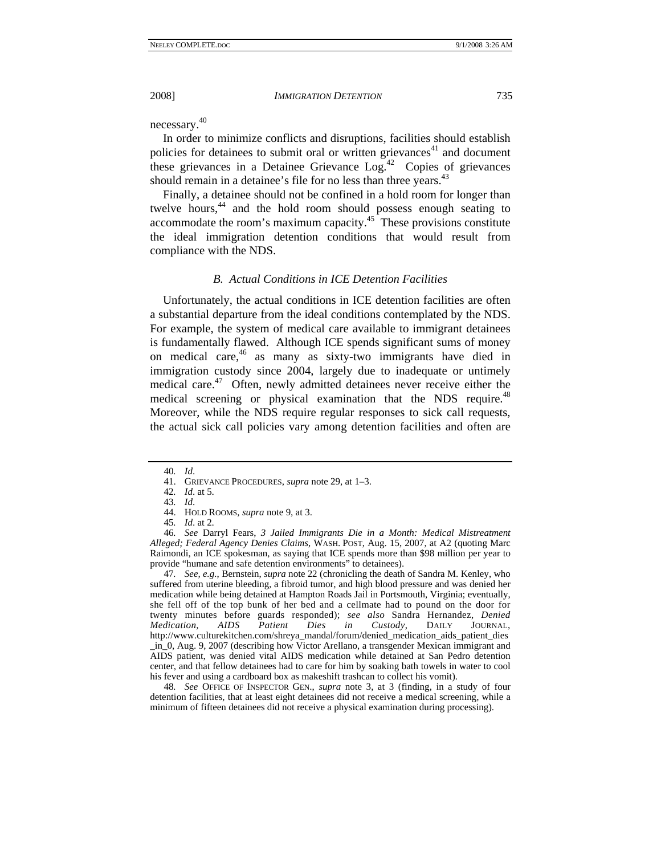necessary.40

In order to minimize conflicts and disruptions, facilities should establish policies for detainees to submit oral or written grievances $41$  and document these grievances in a Detainee Grievance  $Log<sup>42</sup>$  Copies of grievances should remain in a detainee's file for no less than three years.<sup>43</sup>

Finally, a detainee should not be confined in a hold room for longer than twelve hours,<sup>44</sup> and the hold room should possess enough seating to accommodate the room's maximum capacity.45 These provisions constitute the ideal immigration detention conditions that would result from compliance with the NDS.

# *B. Actual Conditions in ICE Detention Facilities*

Unfortunately, the actual conditions in ICE detention facilities are often a substantial departure from the ideal conditions contemplated by the NDS. For example, the system of medical care available to immigrant detainees is fundamentally flawed. Although ICE spends significant sums of money on medical care, $46$  as many as sixty-two immigrants have died in immigration custody since 2004, largely due to inadequate or untimely medical care.<sup>47</sup> Often, newly admitted detainees never receive either the medical screening or physical examination that the NDS require.<sup>48</sup> Moreover, while the NDS require regular responses to sick call requests, the actual sick call policies vary among detention facilities and often are

47*. See, e.g.*, Bernstein, *supra* note 22 (chronicling the death of Sandra M. Kenley, who suffered from uterine bleeding, a fibroid tumor, and high blood pressure and was denied her medication while being detained at Hampton Roads Jail in Portsmouth, Virginia; eventually, she fell off of the top bunk of her bed and a cellmate had to pound on the door for twenty minutes before guards responded); *see also* Sandra Hernandez, *Denied Medication, AIDS Patient Dies in Custody*, DAILY JOURNAL, http://www.culturekitchen.com/shreya\_mandal/forum/denied\_medication\_aids\_patient\_dies \_in\_0, Aug. 9, 2007 (describing how Victor Arellano, a transgender Mexican immigrant and AIDS patient, was denied vital AIDS medication while detained at San Pedro detention center, and that fellow detainees had to care for him by soaking bath towels in water to cool his fever and using a cardboard box as makeshift trashcan to collect his vomit).

48*. See* OFFICE OF INSPECTOR GEN., *supra* note 3, at 3 (finding, in a study of four detention facilities, that at least eight detainees did not receive a medical screening, while a minimum of fifteen detainees did not receive a physical examination during processing).

<sup>40</sup>*. Id*.

 <sup>41.</sup> GRIEVANCE PROCEDURES, *supra* note 29, at 1–3.

<sup>42</sup>*. Id*. at 5.

<sup>43</sup>*. Id*.

 <sup>44.</sup> HOLD ROOMS, *supra* note 9, at 3.

<sup>45</sup>*. Id*. at 2.

<sup>46</sup>*. See* Darryl Fears, *3 Jailed Immigrants Die in a Month: Medical Mistreatment Alleged; Federal Agency Denies Claims*, WASH. POST, Aug. 15, 2007, at A2 (quoting Marc Raimondi, an ICE spokesman, as saying that ICE spends more than \$98 million per year to provide "humane and safe detention environments" to detainees).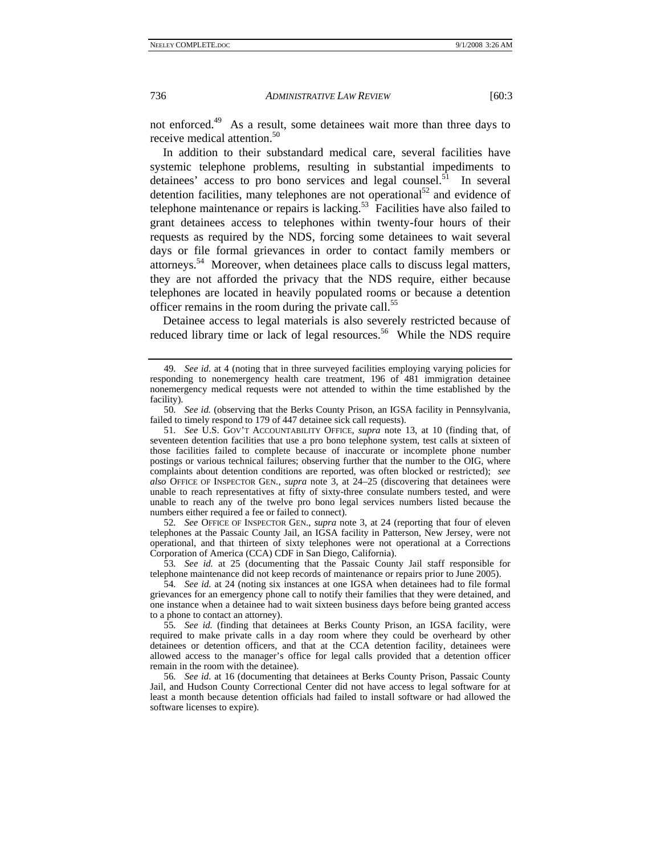not enforced.49 As a result, some detainees wait more than three days to receive medical attention.<sup>50</sup>

In addition to their substandard medical care, several facilities have systemic telephone problems, resulting in substantial impediments to detainees' access to pro bono services and legal counsel.<sup>51</sup> In several detention facilities, many telephones are not operational<sup>52</sup> and evidence of telephone maintenance or repairs is lacking.<sup>53</sup> Facilities have also failed to grant detainees access to telephones within twenty-four hours of their requests as required by the NDS, forcing some detainees to wait several days or file formal grievances in order to contact family members or attorneys.54 Moreover, when detainees place calls to discuss legal matters, they are not afforded the privacy that the NDS require, either because telephones are located in heavily populated rooms or because a detention officer remains in the room during the private call.<sup>55</sup>

Detainee access to legal materials is also severely restricted because of reduced library time or lack of legal resources.<sup>56</sup> While the NDS require

51*. See* U.S. GOV'T ACCOUNTABILITY OFFICE, *supra* note 13, at 10 (finding that, of seventeen detention facilities that use a pro bono telephone system, test calls at sixteen of those facilities failed to complete because of inaccurate or incomplete phone number postings or various technical failures; observing further that the number to the OIG, where complaints about detention conditions are reported, was often blocked or restricted); *see also* OFFICE OF INSPECTOR GEN., *supra* note 3, at 24–25 (discovering that detainees were unable to reach representatives at fifty of sixty-three consulate numbers tested, and were unable to reach any of the twelve pro bono legal services numbers listed because the numbers either required a fee or failed to connect).

52*. See* OFFICE OF INSPECTOR GEN., *supra* note 3, at 24 (reporting that four of eleven telephones at the Passaic County Jail, an IGSA facility in Patterson, New Jersey, were not operational, and that thirteen of sixty telephones were not operational at a Corrections Corporation of America (CCA) CDF in San Diego, California).

53*. See id.* at 25 (documenting that the Passaic County Jail staff responsible for telephone maintenance did not keep records of maintenance or repairs prior to June 2005).

54*. See id.* at 24 (noting six instances at one IGSA when detainees had to file formal grievances for an emergency phone call to notify their families that they were detained, and one instance when a detainee had to wait sixteen business days before being granted access to a phone to contact an attorney).

55*. See id.* (finding that detainees at Berks County Prison, an IGSA facility, were required to make private calls in a day room where they could be overheard by other detainees or detention officers, and that at the CCA detention facility, detainees were allowed access to the manager's office for legal calls provided that a detention officer remain in the room with the detainee).

56*. See id.* at 16 (documenting that detainees at Berks County Prison, Passaic County Jail, and Hudson County Correctional Center did not have access to legal software for at least a month because detention officials had failed to install software or had allowed the software licenses to expire).

<sup>49</sup>*. See id.* at 4 (noting that in three surveyed facilities employing varying policies for responding to nonemergency health care treatment, 196 of 481 immigration detainee nonemergency medical requests were not attended to within the time established by the facility).

<sup>50</sup>*. See id.* (observing that the Berks County Prison, an IGSA facility in Pennsylvania, failed to timely respond to 179 of 447 detainee sick call requests).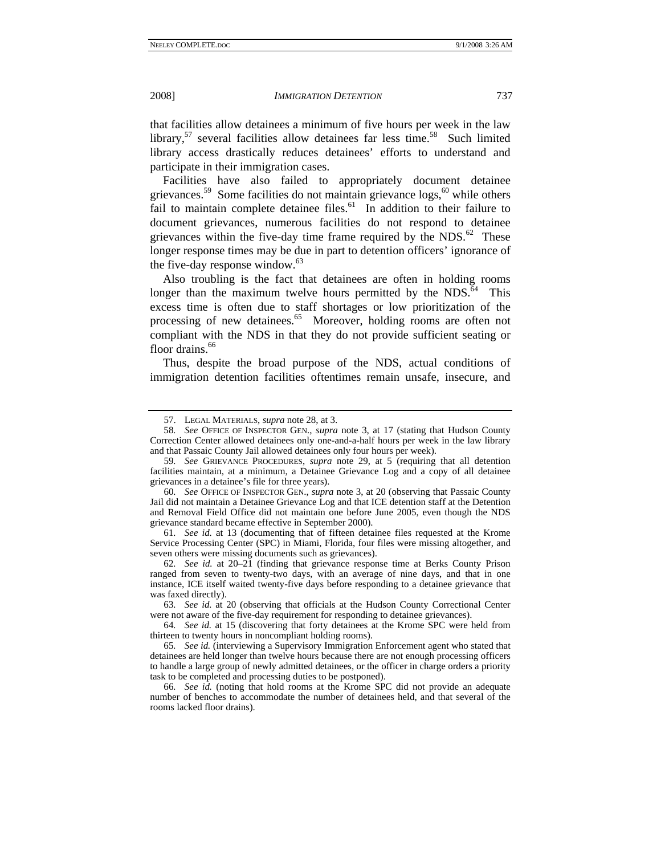that facilities allow detainees a minimum of five hours per week in the law library,<sup>57</sup> several facilities allow detainees far less time.<sup>58</sup> Such limited library access drastically reduces detainees' efforts to understand and participate in their immigration cases.

Facilities have also failed to appropriately document detainee grievances.<sup>59</sup> Some facilities do not maintain grievance  $\log s$ ,<sup>60</sup> while others fail to maintain complete detainee files.<sup>61</sup> In addition to their failure to document grievances, numerous facilities do not respond to detainee grievances within the five-day time frame required by the  $NDS<sup>62</sup>$ . These longer response times may be due in part to detention officers' ignorance of the five-day response window. $63$ 

Also troubling is the fact that detainees are often in holding rooms longer than the maximum twelve hours permitted by the NDS. $64$  This excess time is often due to staff shortages or low prioritization of the processing of new detainees.<sup>65</sup> Moreover, holding rooms are often not compliant with the NDS in that they do not provide sufficient seating or floor drains.<sup>66</sup>

Thus, despite the broad purpose of the NDS, actual conditions of immigration detention facilities oftentimes remain unsafe, insecure, and

60*. See* OFFICE OF INSPECTOR GEN., *supra* note 3, at 20 (observing that Passaic County Jail did not maintain a Detainee Grievance Log and that ICE detention staff at the Detention and Removal Field Office did not maintain one before June 2005, even though the NDS grievance standard became effective in September 2000).

61*. See id.* at 13 (documenting that of fifteen detainee files requested at the Krome Service Processing Center (SPC) in Miami, Florida, four files were missing altogether, and seven others were missing documents such as grievances).

 <sup>57.</sup> LEGAL MATERIALS, *supra* note 28, at 3.

<sup>58</sup>*. See* OFFICE OF INSPECTOR GEN., *supra* note 3, at 17 (stating that Hudson County Correction Center allowed detainees only one-and-a-half hours per week in the law library and that Passaic County Jail allowed detainees only four hours per week).

<sup>59</sup>*. See* GRIEVANCE PROCEDURES, *supra* note 29, at 5 (requiring that all detention facilities maintain, at a minimum, a Detainee Grievance Log and a copy of all detainee grievances in a detainee's file for three years).

<sup>62</sup>*. See id.* at 20–21 (finding that grievance response time at Berks County Prison ranged from seven to twenty-two days, with an average of nine days, and that in one instance, ICE itself waited twenty-five days before responding to a detainee grievance that was faxed directly).

<sup>63</sup>*. See id.* at 20 (observing that officials at the Hudson County Correctional Center were not aware of the five-day requirement for responding to detainee grievances).

<sup>64</sup>*. See id.* at 15 (discovering that forty detainees at the Krome SPC were held from thirteen to twenty hours in noncompliant holding rooms).

<sup>65</sup>*. See id.* (interviewing a Supervisory Immigration Enforcement agent who stated that detainees are held longer than twelve hours because there are not enough processing officers to handle a large group of newly admitted detainees, or the officer in charge orders a priority task to be completed and processing duties to be postponed).

<sup>66</sup>*. See id.* (noting that hold rooms at the Krome SPC did not provide an adequate number of benches to accommodate the number of detainees held, and that several of the rooms lacked floor drains).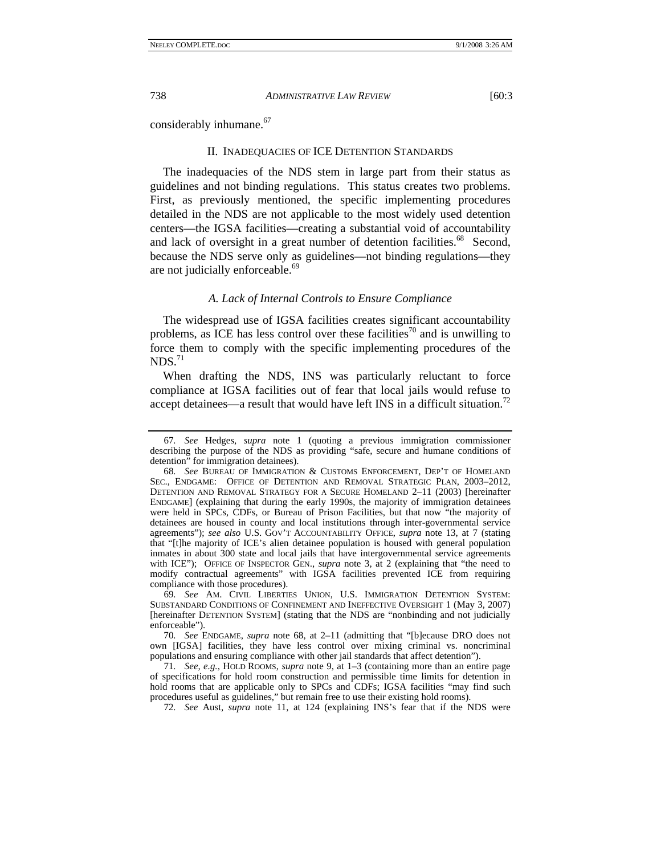considerably inhumane.<sup>67</sup>

#### II. INADEQUACIES OF ICE DETENTION STANDARDS

The inadequacies of the NDS stem in large part from their status as guidelines and not binding regulations. This status creates two problems. First, as previously mentioned, the specific implementing procedures detailed in the NDS are not applicable to the most widely used detention centers—the IGSA facilities—creating a substantial void of accountability and lack of oversight in a great number of detention facilities.<sup>68</sup> Second, because the NDS serve only as guidelines—not binding regulations—they are not judicially enforceable.<sup>69</sup>

#### *A. Lack of Internal Controls to Ensure Compliance*

The widespread use of IGSA facilities creates significant accountability problems, as ICE has less control over these facilities<sup>70</sup> and is unwilling to force them to comply with the specific implementing procedures of the  $NDS.<sup>71</sup>$ 

When drafting the NDS, INS was particularly reluctant to force compliance at IGSA facilities out of fear that local jails would refuse to accept detainees—a result that would have left INS in a difficult situation.<sup>72</sup>

69*. See* AM. CIVIL LIBERTIES UNION, U.S. IMMIGRATION DETENTION SYSTEM: SUBSTANDARD CONDITIONS OF CONFINEMENT AND INEFFECTIVE OVERSIGHT 1 (May 3, 2007) [hereinafter DETENTION SYSTEM] (stating that the NDS are "nonbinding and not judicially enforceable").

70*. See* ENDGAME, *supra* note 68, at 2–11 (admitting that "[b]ecause DRO does not own [IGSA] facilities, they have less control over mixing criminal vs. noncriminal populations and ensuring compliance with other jail standards that affect detention").

72*. See* Aust, *supra* note 11, at 124 (explaining INS's fear that if the NDS were

<sup>67</sup>*. See* Hedges, *supra* note 1 (quoting a previous immigration commissioner describing the purpose of the NDS as providing "safe, secure and humane conditions of detention" for immigration detainees).

<sup>68</sup>*. See* BUREAU OF IMMIGRATION & CUSTOMS ENFORCEMENT, DEP'T OF HOMELAND SEC., ENDGAME: OFFICE OF DETENTION AND REMOVAL STRATEGIC PLAN, 2003–2012, DETENTION AND REMOVAL STRATEGY FOR A SECURE HOMELAND 2–11 (2003) [hereinafter ENDGAME] (explaining that during the early 1990s, the majority of immigration detainees were held in SPCs, CDFs, or Bureau of Prison Facilities, but that now "the majority of detainees are housed in county and local institutions through inter-governmental service agreements"); *see also* U.S. GOV'T ACCOUNTABILITY OFFICE, *supra* note 13, at 7 (stating that "[t]he majority of ICE's alien detainee population is housed with general population inmates in about 300 state and local jails that have intergovernmental service agreements with ICE"); OFFICE OF INSPECTOR GEN., *supra* note 3, at 2 (explaining that "the need to modify contractual agreements" with IGSA facilities prevented ICE from requiring compliance with those procedures).

<sup>71</sup>*. See, e.g.*, HOLD ROOMS, *supra* note 9, at 1–3 (containing more than an entire page of specifications for hold room construction and permissible time limits for detention in hold rooms that are applicable only to SPCs and CDFs; IGSA facilities "may find such procedures useful as guidelines," but remain free to use their existing hold rooms).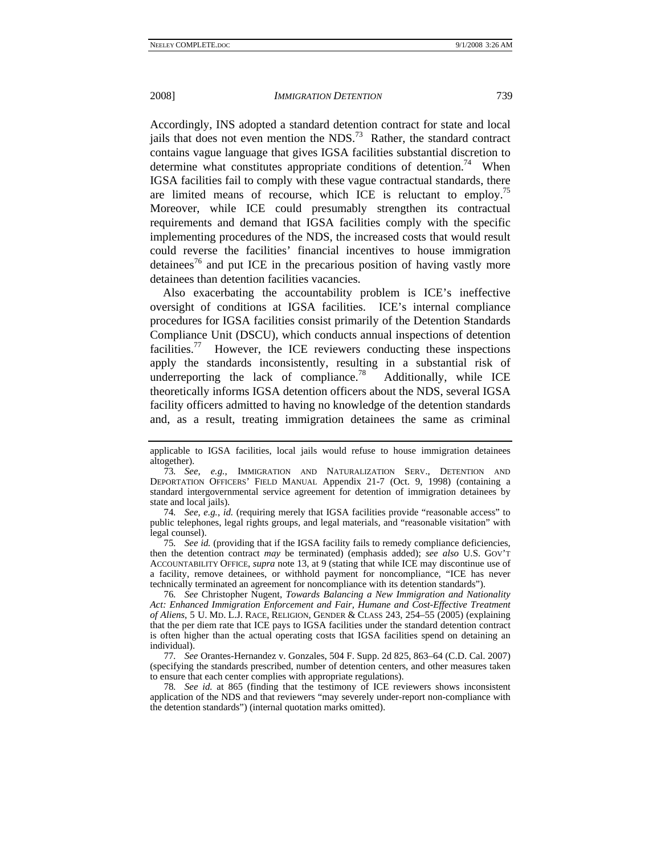Accordingly, INS adopted a standard detention contract for state and local jails that does not even mention the  $NDS<sup>73</sup>$  Rather, the standard contract contains vague language that gives IGSA facilities substantial discretion to determine what constitutes appropriate conditions of detention.<sup>74</sup> When IGSA facilities fail to comply with these vague contractual standards, there are limited means of recourse, which ICE is reluctant to employ.<sup>75</sup> Moreover, while ICE could presumably strengthen its contractual requirements and demand that IGSA facilities comply with the specific implementing procedures of the NDS, the increased costs that would result could reverse the facilities' financial incentives to house immigration detainees<sup>76</sup> and put ICE in the precarious position of having vastly more detainees than detention facilities vacancies.

Also exacerbating the accountability problem is ICE's ineffective oversight of conditions at IGSA facilities. ICE's internal compliance procedures for IGSA facilities consist primarily of the Detention Standards Compliance Unit (DSCU), which conducts annual inspections of detention facilities.<sup>77</sup> However, the ICE reviewers conducting these inspections apply the standards inconsistently, resulting in a substantial risk of underreporting the lack of compliance.<sup>78</sup> Additionally, while ICE theoretically informs IGSA detention officers about the NDS, several IGSA facility officers admitted to having no knowledge of the detention standards and, as a result, treating immigration detainees the same as criminal

74*. See, e.g.*, *id.* (requiring merely that IGSA facilities provide "reasonable access" to public telephones, legal rights groups, and legal materials, and "reasonable visitation" with legal counsel).

75*. See id.* (providing that if the IGSA facility fails to remedy compliance deficiencies, then the detention contract *may* be terminated) (emphasis added); *see also* U.S. GOV'T ACCOUNTABILITY OFFICE, *supra* note 13, at 9 (stating that while ICE may discontinue use of a facility, remove detainees, or withhold payment for noncompliance, "ICE has never technically terminated an agreement for noncompliance with its detention standards").

76*. See* Christopher Nugent, *Towards Balancing a New Immigration and Nationality*  Act: Enhanced Immigration Enforcement and Fair, Humane and Cost-Effective Treatment *of Aliens*, 5 U. MD. L.J. RACE, RELIGION, GENDER & CLASS 243, 254–55 (2005) (explaining that the per diem rate that ICE pays to IGSA facilities under the standard detention contract is often higher than the actual operating costs that IGSA facilities spend on detaining an individual).

77*. See* Orantes-Hernandez v. Gonzales, 504 F. Supp. 2d 825, 863–64 (C.D. Cal. 2007) (specifying the standards prescribed, number of detention centers, and other measures taken to ensure that each center complies with appropriate regulations).

78*. See id.* at 865 (finding that the testimony of ICE reviewers shows inconsistent application of the NDS and that reviewers "may severely under-report non-compliance with the detention standards") (internal quotation marks omitted).

applicable to IGSA facilities, local jails would refuse to house immigration detainees altogether).

<sup>73</sup>*. See, e.g.*, IMMIGRATION AND NATURALIZATION SERV., DETENTION AND DEPORTATION OFFICERS' FIELD MANUAL Appendix 21-7 (Oct. 9, 1998) (containing a standard intergovernmental service agreement for detention of immigration detainees by state and local jails).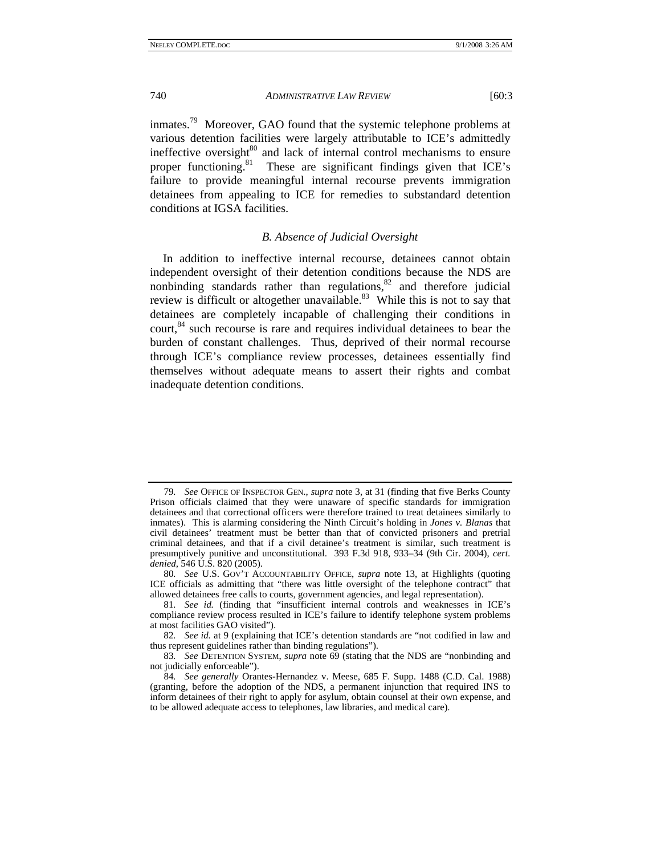inmates.<sup>79</sup> Moreover, GAO found that the systemic telephone problems at various detention facilities were largely attributable to ICE's admittedly ineffective oversight $80$  and lack of internal control mechanisms to ensure proper functioning.<sup>81</sup> These are significant findings given that ICE's failure to provide meaningful internal recourse prevents immigration detainees from appealing to ICE for remedies to substandard detention conditions at IGSA facilities.

# *B. Absence of Judicial Oversight*

In addition to ineffective internal recourse, detainees cannot obtain independent oversight of their detention conditions because the NDS are nonbinding standards rather than regulations,<sup>82</sup> and therefore judicial review is difficult or altogether unavailable.<sup>83</sup> While this is not to say that detainees are completely incapable of challenging their conditions in court,<sup>84</sup> such recourse is rare and requires individual detainees to bear the burden of constant challenges. Thus, deprived of their normal recourse through ICE's compliance review processes, detainees essentially find themselves without adequate means to assert their rights and combat inadequate detention conditions.

<sup>79</sup>*. See* OFFICE OF INSPECTOR GEN., *supra* note 3, at 31 (finding that five Berks County Prison officials claimed that they were unaware of specific standards for immigration detainees and that correctional officers were therefore trained to treat detainees similarly to inmates). This is alarming considering the Ninth Circuit's holding in *Jones v. Blanas* that civil detainees' treatment must be better than that of convicted prisoners and pretrial criminal detainees, and that if a civil detainee's treatment is similar, such treatment is presumptively punitive and unconstitutional. 393 F.3d 918, 933–34 (9th Cir. 2004), *cert. denied*, 546 U.S. 820 (2005).

<sup>80</sup>*. See* U.S. GOV'T ACCOUNTABILITY OFFICE, *supra* note 13, at Highlights (quoting ICE officials as admitting that "there was little oversight of the telephone contract" that allowed detainees free calls to courts, government agencies, and legal representation).

<sup>81</sup>*. See id.* (finding that "insufficient internal controls and weaknesses in ICE's compliance review process resulted in ICE's failure to identify telephone system problems at most facilities GAO visited").

<sup>82</sup>*. See id.* at 9 (explaining that ICE's detention standards are "not codified in law and thus represent guidelines rather than binding regulations").

<sup>83</sup>*. See* DETENTION SYSTEM, *supra* note 69 (stating that the NDS are "nonbinding and not judicially enforceable").

<sup>84</sup>*. See generally* Orantes-Hernandez v. Meese, 685 F. Supp. 1488 (C.D. Cal. 1988) (granting, before the adoption of the NDS, a permanent injunction that required INS to inform detainees of their right to apply for asylum, obtain counsel at their own expense, and to be allowed adequate access to telephones, law libraries, and medical care).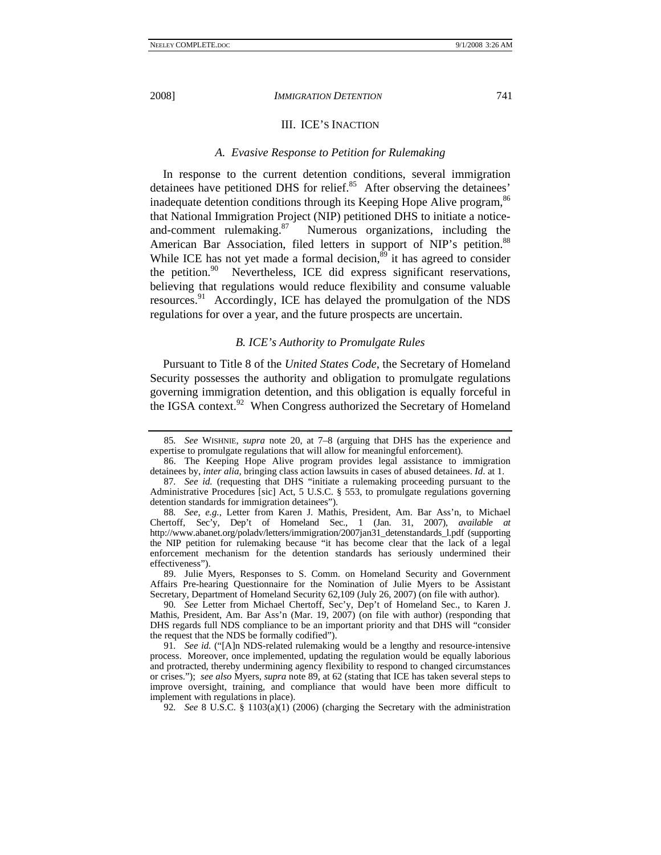#### III. ICE'S INACTION

#### *A. Evasive Response to Petition for Rulemaking*

In response to the current detention conditions, several immigration detainees have petitioned DHS for relief.<sup>85</sup> After observing the detainees' inadequate detention conditions through its Keeping Hope Alive program, <sup>86</sup> that National Immigration Project (NIP) petitioned DHS to initiate a notice-<br>and-comment rulemaking.<sup>87</sup> Numerous organizations, including the Numerous organizations, including the American Bar Association, filed letters in support of NIP's petition.<sup>88</sup> While ICE has not yet made a formal decision, $\frac{89}{3}$  it has agreed to consider the petition. $90$  Nevertheless, ICE did express significant reservations, believing that regulations would reduce flexibility and consume valuable resources.91 Accordingly, ICE has delayed the promulgation of the NDS regulations for over a year, and the future prospects are uncertain.

### *B. ICE's Authority to Promulgate Rules*

Pursuant to Title 8 of the *United States Code*, the Secretary of Homeland Security possesses the authority and obligation to promulgate regulations governing immigration detention, and this obligation is equally forceful in the IGSA context.<sup>92</sup> When Congress authorized the Secretary of Homeland

 89. Julie Myers, Responses to S. Comm. on Homeland Security and Government Affairs Pre-hearing Questionnaire for the Nomination of Julie Myers to be Assistant Secretary, Department of Homeland Security 62,109 (July 26, 2007) (on file with author).

90*. See* Letter from Michael Chertoff, Sec'y, Dep't of Homeland Sec., to Karen J. Mathis, President, Am. Bar Ass'n (Mar. 19, 2007) (on file with author) (responding that DHS regards full NDS compliance to be an important priority and that DHS will "consider the request that the NDS be formally codified").

91*. See id.* ("[A]n NDS-related rulemaking would be a lengthy and resource-intensive process. Moreover, once implemented, updating the regulation would be equally laborious and protracted, thereby undermining agency flexibility to respond to changed circumstances or crises."); *see also* Myers, *supra* note 89, at 62 (stating that ICE has taken several steps to improve oversight, training, and compliance that would have been more difficult to implement with regulations in place).

<sup>85</sup>*. See* WISHNIE, *supra* note 20, at 7–8 (arguing that DHS has the experience and expertise to promulgate regulations that will allow for meaningful enforcement).

 <sup>86.</sup> The Keeping Hope Alive program provides legal assistance to immigration detainees by, *inter alia*, bringing class action lawsuits in cases of abused detainees. *Id*. at 1.

<sup>87</sup>*. See id.* (requesting that DHS "initiate a rulemaking proceeding pursuant to the Administrative Procedures [sic] Act, 5 U.S.C. § 553, to promulgate regulations governing detention standards for immigration detainees").

<sup>88</sup>*. See, e.g.*, Letter from Karen J. Mathis, President, Am. Bar Ass'n, to Michael Chertoff, Sec'y, Dep't of Homeland Sec., 1 (Jan. 31, 2007), *available at* http://www.abanet.org/poladv/letters/immigration/2007jan31\_detenstandards\_l.pdf (supporting the NIP petition for rulemaking because "it has become clear that the lack of a legal enforcement mechanism for the detention standards has seriously undermined their effectiveness").

<sup>92</sup>*. See* 8 U.S.C. § 1103(a)(1) (2006) (charging the Secretary with the administration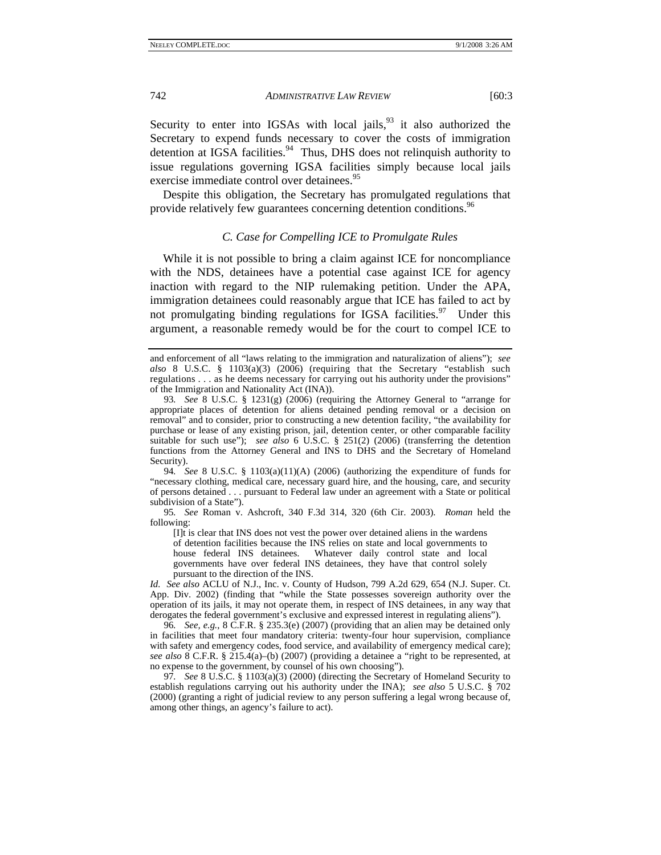Security to enter into IGSAs with local jails,  $93$  it also authorized the Secretary to expend funds necessary to cover the costs of immigration detention at IGSA facilities.<sup>94</sup> Thus, DHS does not relinquish authority to issue regulations governing IGSA facilities simply because local jails exercise immediate control over detainees.<sup>95</sup>

Despite this obligation, the Secretary has promulgated regulations that provide relatively few guarantees concerning detention conditions.<sup>96</sup>

### *C. Case for Compelling ICE to Promulgate Rules*

While it is not possible to bring a claim against ICE for noncompliance with the NDS, detainees have a potential case against ICE for agency inaction with regard to the NIP rulemaking petition. Under the APA, immigration detainees could reasonably argue that ICE has failed to act by not promulgating binding regulations for IGSA facilities.<sup>97</sup> Under this argument, a reasonable remedy would be for the court to compel ICE to

94*. See* 8 U.S.C. § 1103(a)(11)(A) (2006) (authorizing the expenditure of funds for "necessary clothing, medical care, necessary guard hire, and the housing, care, and security of persons detained . . . pursuant to Federal law under an agreement with a State or political subdivision of a State").

95*. See* Roman v. Ashcroft, 340 F.3d 314, 320 (6th Cir. 2003). *Roman* held the following:

[I]t is clear that INS does not vest the power over detained aliens in the wardens of detention facilities because the INS relies on state and local governments to house federal INS detainees. Whatever daily control state and local governments have over federal INS detainees, they have that control solely pursuant to the direction of the INS.

*Id. See also* ACLU of N.J., Inc. v. County of Hudson, 799 A.2d 629, 654 (N.J. Super. Ct. App. Div. 2002) (finding that "while the State possesses sovereign authority over the operation of its jails, it may not operate them, in respect of INS detainees, in any way that derogates the federal government's exclusive and expressed interest in regulating aliens").

96*. See, e.g.*, 8 C.F.R. § 235.3(e) (2007) (providing that an alien may be detained only in facilities that meet four mandatory criteria: twenty-four hour supervision, compliance with safety and emergency codes, food service, and availability of emergency medical care); *see also* 8 C.F.R. § 215.4(a)–(b) (2007) (providing a detainee a "right to be represented, at no expense to the government, by counsel of his own choosing").

97*. See* 8 U.S.C. § 1103(a)(3) (2000) (directing the Secretary of Homeland Security to establish regulations carrying out his authority under the INA); *see also* 5 U.S.C. § 702 (2000) (granting a right of judicial review to any person suffering a legal wrong because of, among other things, an agency's failure to act).

and enforcement of all "laws relating to the immigration and naturalization of aliens"); *see also* 8 U.S.C. § 1103(a)(3) (2006) (requiring that the Secretary "establish such regulations . . . as he deems necessary for carrying out his authority under the provisions" of the Immigration and Nationality Act (INA)).

<sup>93</sup>*. See* 8 U.S.C. § 1231(g) (2006) (requiring the Attorney General to "arrange for appropriate places of detention for aliens detained pending removal or a decision on removal" and to consider, prior to constructing a new detention facility, "the availability for purchase or lease of any existing prison, jail, detention center, or other comparable facility suitable for such use"); *see also* 6 U.S.C. § 251(2) (2006) (transferring the detention functions from the Attorney General and INS to DHS and the Secretary of Homeland Security).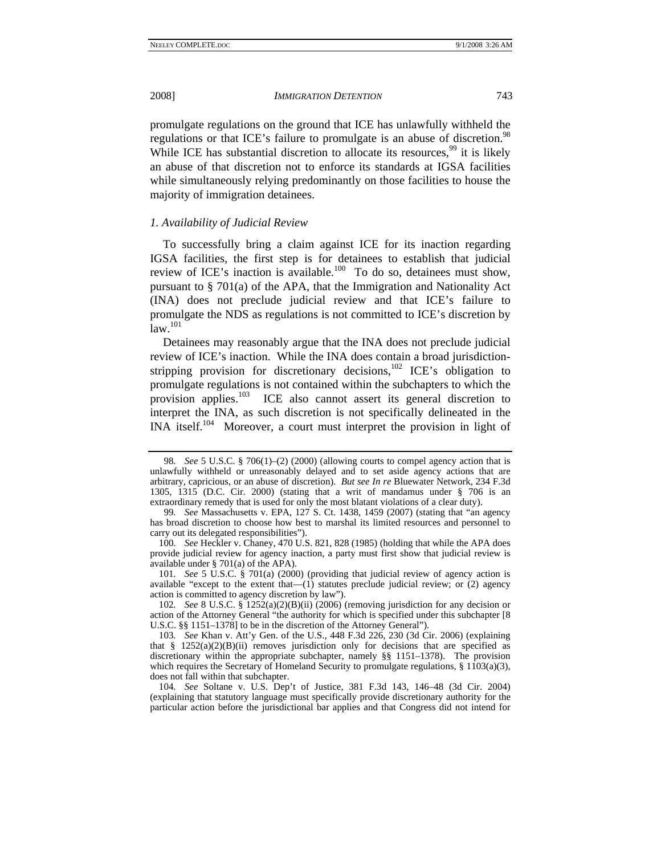promulgate regulations on the ground that ICE has unlawfully withheld the regulations or that ICE's failure to promulgate is an abuse of discretion.<sup>98</sup> While ICE has substantial discretion to allocate its resources,  $99$  it is likely an abuse of that discretion not to enforce its standards at IGSA facilities while simultaneously relying predominantly on those facilities to house the majority of immigration detainees.

## *1. Availability of Judicial Review*

To successfully bring a claim against ICE for its inaction regarding IGSA facilities, the first step is for detainees to establish that judicial review of ICE's inaction is available.<sup>100</sup> To do so, detainees must show, pursuant to § 701(a) of the APA, that the Immigration and Nationality Act (INA) does not preclude judicial review and that ICE's failure to promulgate the NDS as regulations is not committed to ICE's discretion by  $law.<sup>101</sup>$ 

Detainees may reasonably argue that the INA does not preclude judicial review of ICE's inaction. While the INA does contain a broad jurisdictionstripping provision for discretionary decisions,<sup>102</sup> ICE's obligation to promulgate regulations is not contained within the subchapters to which the provision applies.<sup>103</sup> ICE also cannot assert its general discretion to interpret the INA, as such discretion is not specifically delineated in the INA itself.104 Moreover, a court must interpret the provision in light of

<sup>98</sup>*. See* 5 U.S.C. § 706(1)–(2) (2000) (allowing courts to compel agency action that is unlawfully withheld or unreasonably delayed and to set aside agency actions that are arbitrary, capricious, or an abuse of discretion). *But see In re* Bluewater Network, 234 F.3d 1305, 1315 (D.C. Cir. 2000) (stating that a writ of mandamus under § 706 is an extraordinary remedy that is used for only the most blatant violations of a clear duty).

<sup>99</sup>*. See* Massachusetts v. EPA, 127 S. Ct. 1438, 1459 (2007) (stating that "an agency has broad discretion to choose how best to marshal its limited resources and personnel to carry out its delegated responsibilities").

<sup>100</sup>*. See* Heckler v. Chaney, 470 U.S. 821, 828 (1985) (holding that while the APA does provide judicial review for agency inaction, a party must first show that judicial review is available under § 701(a) of the APA).

<sup>101</sup>*. See* 5 U.S.C. § 701(a) (2000) (providing that judicial review of agency action is available "except to the extent that  $-(1)$  statutes preclude judicial review; or (2) agency action is committed to agency discretion by law").

<sup>102</sup>*. See* 8 U.S.C. § 1252(a)(2)(B)(ii) (2006) (removing jurisdiction for any decision or action of the Attorney General "the authority for which is specified under this subchapter [8 U.S.C. §§ 1151–1378] to be in the discretion of the Attorney General").

<sup>103</sup>*. See* Khan v. Att'y Gen. of the U.S., 448 F.3d 226, 230 (3d Cir. 2006) (explaining that §  $1252(a)(2)(B)(ii)$  removes jurisdiction only for decisions that are specified as discretionary within the appropriate subchapter, namely §§ 1151–1378). The provision which requires the Secretary of Homeland Security to promulgate regulations,  $\S 1103(a)(3)$ , does not fall within that subchapter.

<sup>104</sup>*. See* Soltane v. U.S. Dep't of Justice, 381 F.3d 143, 146–48 (3d Cir. 2004) (explaining that statutory language must specifically provide discretionary authority for the particular action before the jurisdictional bar applies and that Congress did not intend for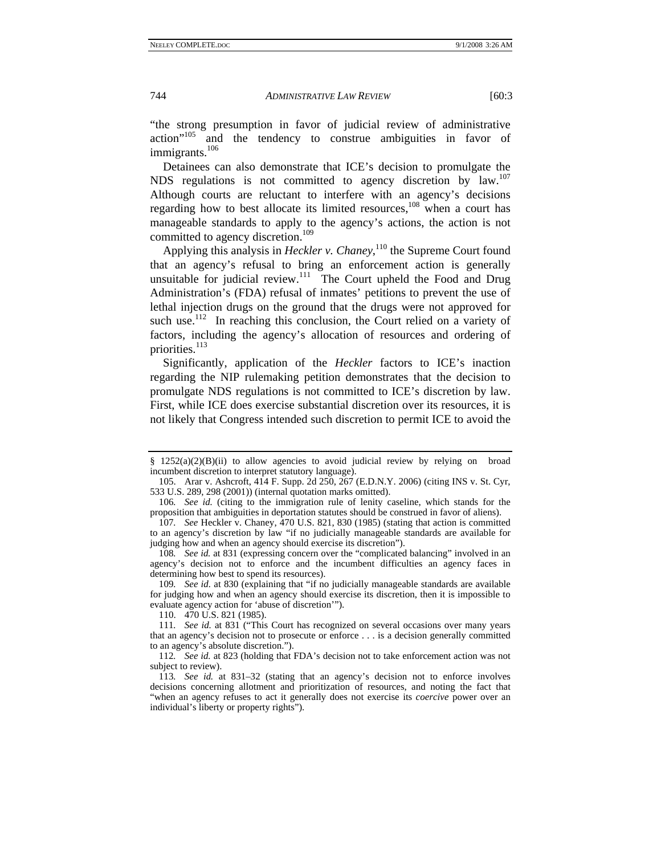"the strong presumption in favor of judicial review of administrative action"105 and the tendency to construe ambiguities in favor of immigrants.<sup>106</sup>

Detainees can also demonstrate that ICE's decision to promulgate the NDS regulations is not committed to agency discretion by law.<sup>107</sup> Although courts are reluctant to interfere with an agency's decisions regarding how to best allocate its limited resources,<sup>108</sup> when a court has manageable standards to apply to the agency's actions, the action is not committed to agency discretion.<sup>109</sup>

Applying this analysis in *Heckler v. Chaney*,<sup>110</sup> the Supreme Court found that an agency's refusal to bring an enforcement action is generally unsuitable for judicial review. $111$  The Court upheld the Food and Drug Administration's (FDA) refusal of inmates' petitions to prevent the use of lethal injection drugs on the ground that the drugs were not approved for such use.<sup>112</sup> In reaching this conclusion, the Court relied on a variety of factors, including the agency's allocation of resources and ordering of priorities.<sup>113</sup>

Significantly, application of the *Heckler* factors to ICE's inaction regarding the NIP rulemaking petition demonstrates that the decision to promulgate NDS regulations is not committed to ICE's discretion by law. First, while ICE does exercise substantial discretion over its resources, it is not likely that Congress intended such discretion to permit ICE to avoid the

<sup>§</sup>  $1252(a)(2)(B)(ii)$  to allow agencies to avoid judicial review by relying on broad incumbent discretion to interpret statutory language).

 <sup>105.</sup> Arar v. Ashcroft, 414 F. Supp. 2d 250, 267 (E.D.N.Y. 2006) (citing INS v. St. Cyr, 533 U.S. 289, 298 (2001)) (internal quotation marks omitted).

<sup>106</sup>*. See id.* (citing to the immigration rule of lenity caseline, which stands for the proposition that ambiguities in deportation statutes should be construed in favor of aliens).

<sup>107</sup>*. See* Heckler v. Chaney, 470 U.S. 821, 830 (1985) (stating that action is committed to an agency's discretion by law "if no judicially manageable standards are available for judging how and when an agency should exercise its discretion").

<sup>108</sup>*. See id.* at 831 (expressing concern over the "complicated balancing" involved in an agency's decision not to enforce and the incumbent difficulties an agency faces in determining how best to spend its resources).

<sup>109</sup>*. See id.* at 830 (explaining that "if no judicially manageable standards are available for judging how and when an agency should exercise its discretion, then it is impossible to evaluate agency action for 'abuse of discretion'").

 <sup>110. 470</sup> U.S. 821 (1985).

<sup>111</sup>*. See id.* at 831 ("This Court has recognized on several occasions over many years that an agency's decision not to prosecute or enforce . . . is a decision generally committed to an agency's absolute discretion.").

<sup>112</sup>*. See id.* at 823 (holding that FDA's decision not to take enforcement action was not subject to review).

<sup>113</sup>*. See id.* at 831–32 (stating that an agency's decision not to enforce involves decisions concerning allotment and prioritization of resources, and noting the fact that "when an agency refuses to act it generally does not exercise its *coercive* power over an individual's liberty or property rights").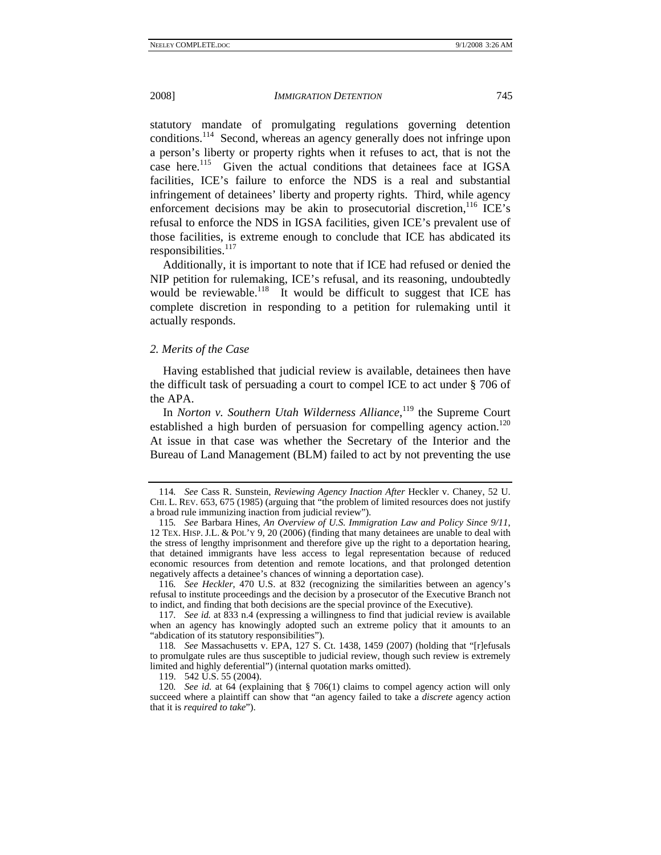statutory mandate of promulgating regulations governing detention conditions.114 Second, whereas an agency generally does not infringe upon a person's liberty or property rights when it refuses to act, that is not the case here.<sup>115</sup> Given the actual conditions that detainees face at IGSA facilities, ICE's failure to enforce the NDS is a real and substantial infringement of detainees' liberty and property rights. Third, while agency enforcement decisions may be akin to prosecutorial discretion,  ${}^{116}$  ICE's refusal to enforce the NDS in IGSA facilities, given ICE's prevalent use of those facilities, is extreme enough to conclude that ICE has abdicated its responsibilities.<sup>117</sup>

Additionally, it is important to note that if ICE had refused or denied the NIP petition for rulemaking, ICE's refusal, and its reasoning, undoubtedly would be reviewable.<sup>118</sup> It would be difficult to suggest that ICE has complete discretion in responding to a petition for rulemaking until it actually responds.

#### *2. Merits of the Case*

Having established that judicial review is available, detainees then have the difficult task of persuading a court to compel ICE to act under § 706 of the APA.

In *Norton v. Southern Utah Wilderness Alliance*,<sup>119</sup> the Supreme Court established a high burden of persuasion for compelling agency action.<sup>120</sup> At issue in that case was whether the Secretary of the Interior and the Bureau of Land Management (BLM) failed to act by not preventing the use

119. 542 U.S. 55 (2004).

<sup>114</sup>*. See* Cass R. Sunstein, *Reviewing Agency Inaction After* Heckler v. Chaney, 52 U. CHI. L. REV. 653, 675 (1985) (arguing that "the problem of limited resources does not justify a broad rule immunizing inaction from judicial review").

<sup>115</sup>*. See* Barbara Hines, *An Overview of U.S. Immigration Law and Policy Since 9/11*, 12 TEX. HISP. J.L. & POL'Y 9, 20 (2006) (finding that many detainees are unable to deal with the stress of lengthy imprisonment and therefore give up the right to a deportation hearing, that detained immigrants have less access to legal representation because of reduced economic resources from detention and remote locations, and that prolonged detention negatively affects a detainee's chances of winning a deportation case).

<sup>116</sup>*. See Heckler*, 470 U.S. at 832 (recognizing the similarities between an agency's refusal to institute proceedings and the decision by a prosecutor of the Executive Branch not to indict, and finding that both decisions are the special province of the Executive).

<sup>117</sup>*. See id.* at 833 n.4 (expressing a willingness to find that judicial review is available when an agency has knowingly adopted such an extreme policy that it amounts to an "abdication of its statutory responsibilities").

<sup>118</sup>*. See* Massachusetts v. EPA, 127 S. Ct. 1438, 1459 (2007) (holding that "[r]efusals to promulgate rules are thus susceptible to judicial review, though such review is extremely limited and highly deferential") (internal quotation marks omitted).

<sup>120</sup>*. See id.* at 64 (explaining that § 706(1) claims to compel agency action will only succeed where a plaintiff can show that "an agency failed to take a *discrete* agency action that it is *required to take*").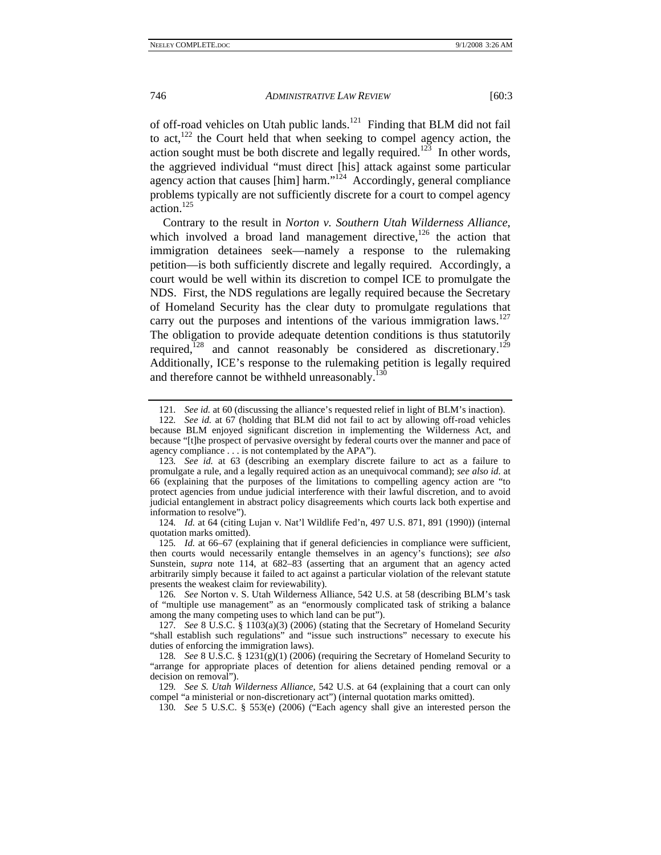of off-road vehicles on Utah public lands.<sup>121</sup> Finding that BLM did not fail to act, $122$  the Court held that when seeking to compel agency action, the action sought must be both discrete and legally required.<sup>123</sup> In other words, the aggrieved individual "must direct [his] attack against some particular agency action that causes [him] harm."<sup>124</sup> Accordingly, general compliance problems typically are not sufficiently discrete for a court to compel agency action. $125$ 

Contrary to the result in *Norton v. Southern Utah Wilderness Alliance*, which involved a broad land management directive,<sup>126</sup> the action that immigration detainees seek—namely a response to the rulemaking petition—is both sufficiently discrete and legally required. Accordingly, a court would be well within its discretion to compel ICE to promulgate the NDS. First, the NDS regulations are legally required because the Secretary of Homeland Security has the clear duty to promulgate regulations that carry out the purposes and intentions of the various immigration laws.<sup>127</sup> The obligation to provide adequate detention conditions is thus statutorily required,<sup>128</sup> and cannot reasonably be considered as discretionary.<sup>129</sup> Additionally, ICE's response to the rulemaking petition is legally required and therefore cannot be withheld unreasonably.<sup>130</sup>

124*. Id.* at 64 (citing Lujan v. Nat'l Wildlife Fed'n, 497 U.S. 871, 891 (1990)) (internal quotation marks omitted).

125*. Id.* at 66–67 (explaining that if general deficiencies in compliance were sufficient, then courts would necessarily entangle themselves in an agency's functions); *see also* Sunstein, *supra* note 114, at 682–83 (asserting that an argument that an agency acted arbitrarily simply because it failed to act against a particular violation of the relevant statute presents the weakest claim for reviewability).

126*. See* Norton v. S. Utah Wilderness Alliance, 542 U.S. at 58 (describing BLM's task of "multiple use management" as an "enormously complicated task of striking a balance among the many competing uses to which land can be put").

127*. See* 8 U.S.C. § 1103(a)(3) (2006) (stating that the Secretary of Homeland Security "shall establish such regulations" and "issue such instructions" necessary to execute his duties of enforcing the immigration laws).

128*. See* 8 U.S.C. § 1231(g)(1) (2006) (requiring the Secretary of Homeland Security to "arrange for appropriate places of detention for aliens detained pending removal or a decision on removal").

129*. See S. Utah Wilderness Alliance*, 542 U.S. at 64 (explaining that a court can only compel "a ministerial or non-discretionary act") (internal quotation marks omitted).

130*. See* 5 U.S.C. § 553(e) (2006) ("Each agency shall give an interested person the

<sup>121</sup>*. See id.* at 60 (discussing the alliance's requested relief in light of BLM's inaction).

<sup>122</sup>*. See id.* at 67 (holding that BLM did not fail to act by allowing off-road vehicles because BLM enjoyed significant discretion in implementing the Wilderness Act, and because "[t]he prospect of pervasive oversight by federal courts over the manner and pace of agency compliance . . . is not contemplated by the APA").

<sup>123</sup>*. See id.* at 63 (describing an exemplary discrete failure to act as a failure to promulgate a rule, and a legally required action as an unequivocal command); *see also id.* at 66 (explaining that the purposes of the limitations to compelling agency action are "to protect agencies from undue judicial interference with their lawful discretion, and to avoid judicial entanglement in abstract policy disagreements which courts lack both expertise and information to resolve").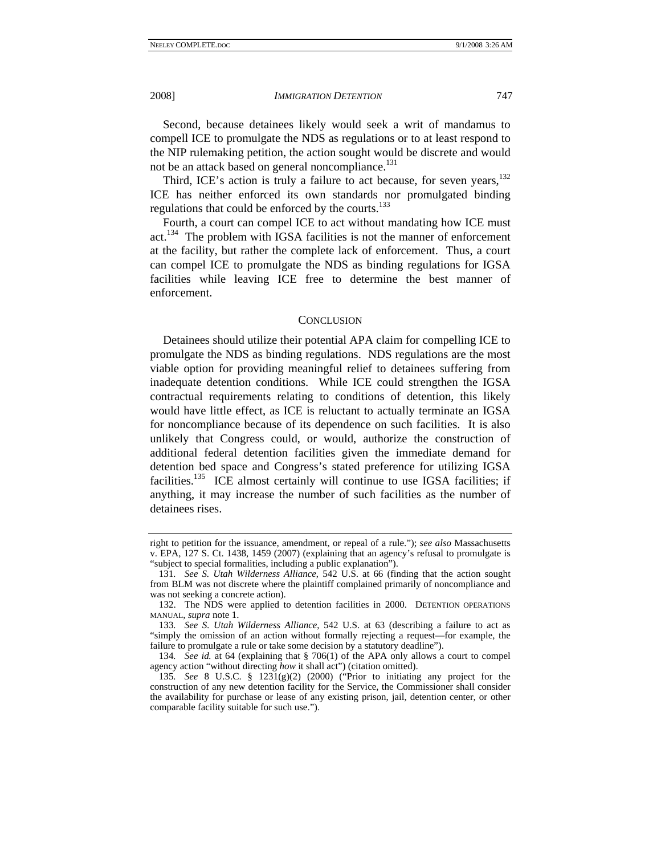Second, because detainees likely would seek a writ of mandamus to compell ICE to promulgate the NDS as regulations or to at least respond to the NIP rulemaking petition, the action sought would be discrete and would not be an attack based on general noncompliance.<sup>131</sup>

Third, ICE's action is truly a failure to act because, for seven years,  $^{132}$ ICE has neither enforced its own standards nor promulgated binding regulations that could be enforced by the courts.<sup>133</sup>

Fourth, a court can compel ICE to act without mandating how ICE must act.134 The problem with IGSA facilities is not the manner of enforcement at the facility, but rather the complete lack of enforcement. Thus, a court can compel ICE to promulgate the NDS as binding regulations for IGSA facilities while leaving ICE free to determine the best manner of enforcement.

#### **CONCLUSION**

Detainees should utilize their potential APA claim for compelling ICE to promulgate the NDS as binding regulations. NDS regulations are the most viable option for providing meaningful relief to detainees suffering from inadequate detention conditions. While ICE could strengthen the IGSA contractual requirements relating to conditions of detention, this likely would have little effect, as ICE is reluctant to actually terminate an IGSA for noncompliance because of its dependence on such facilities. It is also unlikely that Congress could, or would, authorize the construction of additional federal detention facilities given the immediate demand for detention bed space and Congress's stated preference for utilizing IGSA facilities.<sup>135</sup> ICE almost certainly will continue to use IGSA facilities; if anything, it may increase the number of such facilities as the number of detainees rises.

right to petition for the issuance, amendment, or repeal of a rule."); *see also* Massachusetts v. EPA, 127 S. Ct. 1438, 1459 (2007) (explaining that an agency's refusal to promulgate is "subject to special formalities, including a public explanation").

<sup>131</sup>*. See S. Utah Wilderness Alliance*, 542 U.S. at 66 (finding that the action sought from BLM was not discrete where the plaintiff complained primarily of noncompliance and was not seeking a concrete action).

 <sup>132.</sup> The NDS were applied to detention facilities in 2000. DETENTION OPERATIONS MANUAL, *supra* note 1.

<sup>133</sup>*. See S. Utah Wilderness Alliance*, 542 U.S. at 63 (describing a failure to act as "simply the omission of an action without formally rejecting a request—for example, the failure to promulgate a rule or take some decision by a statutory deadline").

<sup>134</sup>*. See id.* at 64 (explaining that § 706(1) of the APA only allows a court to compel agency action "without directing *how* it shall act") (citation omitted).

<sup>135</sup>*. See* 8 U.S.C. § 1231(g)(2) (2000) ("Prior to initiating any project for the construction of any new detention facility for the Service, the Commissioner shall consider the availability for purchase or lease of any existing prison, jail, detention center, or other comparable facility suitable for such use.").